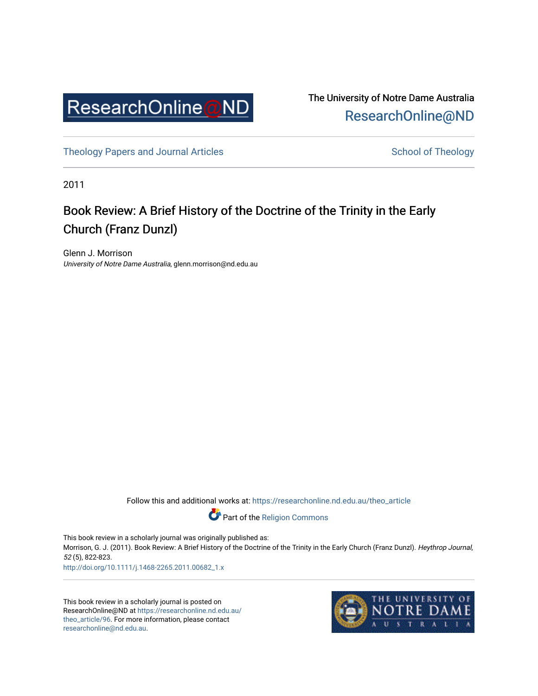

The University of Notre Dame Australia [ResearchOnline@ND](https://researchonline.nd.edu.au/) 

[Theology Papers and Journal Articles](https://researchonline.nd.edu.au/theo_article) and [School of Theology](https://researchonline.nd.edu.au/theo) School of Theology

2011

## Book Review: A Brief History of the Doctrine of the Trinity in the Early Church (Franz Dunzl)

Glenn J. Morrison University of Notre Dame Australia, glenn.morrison@nd.edu.au

Follow this and additional works at: [https://researchonline.nd.edu.au/theo\\_article](https://researchonline.nd.edu.au/theo_article?utm_source=researchonline.nd.edu.au%2Ftheo_article%2F96&utm_medium=PDF&utm_campaign=PDFCoverPages) 

Part of the [Religion Commons](http://network.bepress.com/hgg/discipline/538?utm_source=researchonline.nd.edu.au%2Ftheo_article%2F96&utm_medium=PDF&utm_campaign=PDFCoverPages) 

This book review in a scholarly journal was originally published as: Morrison, G. J. (2011). Book Review: A Brief History of the Doctrine of the Trinity in the Early Church (Franz Dunzl). Heythrop Journal, 52 (5), 822-823.

[http://doi.org/10.1111/j.1468-2265.2011.00682\\_1.x](http://doi.org/10.1111/j.1468-2265.2011.00682_1.x)

This book review in a scholarly journal is posted on ResearchOnline@ND at [https://researchonline.nd.edu.au/](https://researchonline.nd.edu.au/theo_article/96) [theo\\_article/96.](https://researchonline.nd.edu.au/theo_article/96) For more information, please contact [researchonline@nd.edu.au.](mailto:researchonline@nd.edu.au)

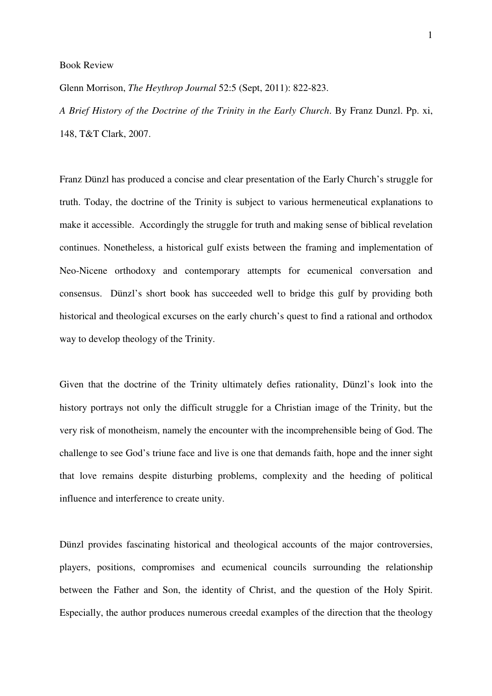Book Review

Glenn Morrison, *The Heythrop Journal* 52:5 (Sept, 2011): 822-823.

*A Brief History of the Doctrine of the Trinity in the Early Church*. By Franz Dunzl. Pp. xi, 148, T&T Clark, 2007.

Franz Dünzl has produced a concise and clear presentation of the Early Church's struggle for truth. Today, the doctrine of the Trinity is subject to various hermeneutical explanations to make it accessible. Accordingly the struggle for truth and making sense of biblical revelation continues. Nonetheless, a historical gulf exists between the framing and implementation of Neo-Nicene orthodoxy and contemporary attempts for ecumenical conversation and consensus. Dünzl's short book has succeeded well to bridge this gulf by providing both historical and theological excurses on the early church's quest to find a rational and orthodox way to develop theology of the Trinity.

Given that the doctrine of the Trinity ultimately defies rationality, Dünzl's look into the history portrays not only the difficult struggle for a Christian image of the Trinity, but the very risk of monotheism, namely the encounter with the incomprehensible being of God. The challenge to see God's triune face and live is one that demands faith, hope and the inner sight that love remains despite disturbing problems, complexity and the heeding of political influence and interference to create unity.

Dünzl provides fascinating historical and theological accounts of the major controversies, players, positions, compromises and ecumenical councils surrounding the relationship between the Father and Son, the identity of Christ, and the question of the Holy Spirit. Especially, the author produces numerous creedal examples of the direction that the theology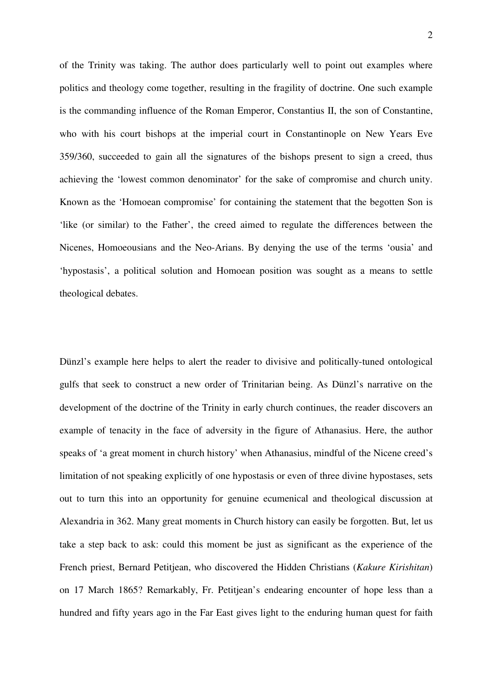of the Trinity was taking. The author does particularly well to point out examples where politics and theology come together, resulting in the fragility of doctrine. One such example is the commanding influence of the Roman Emperor, Constantius II, the son of Constantine, who with his court bishops at the imperial court in Constantinople on New Years Eve 359/360, succeeded to gain all the signatures of the bishops present to sign a creed, thus achieving the 'lowest common denominator' for the sake of compromise and church unity. Known as the 'Homoean compromise' for containing the statement that the begotten Son is 'like (or similar) to the Father', the creed aimed to regulate the differences between the Nicenes, Homoeousians and the Neo-Arians. By denying the use of the terms 'ousia' and 'hypostasis', a political solution and Homoean position was sought as a means to settle theological debates.

Dünzl's example here helps to alert the reader to divisive and politically-tuned ontological gulfs that seek to construct a new order of Trinitarian being. As Dünzl's narrative on the development of the doctrine of the Trinity in early church continues, the reader discovers an example of tenacity in the face of adversity in the figure of Athanasius. Here, the author speaks of 'a great moment in church history' when Athanasius, mindful of the Nicene creed's limitation of not speaking explicitly of one hypostasis or even of three divine hypostases, sets out to turn this into an opportunity for genuine ecumenical and theological discussion at Alexandria in 362. Many great moments in Church history can easily be forgotten. But, let us take a step back to ask: could this moment be just as significant as the experience of the French priest, Bernard Petitjean, who discovered the Hidden Christians (*Kakure Kirishitan*) on 17 March 1865? Remarkably, Fr. Petitjean's endearing encounter of hope less than a hundred and fifty years ago in the Far East gives light to the enduring human quest for faith